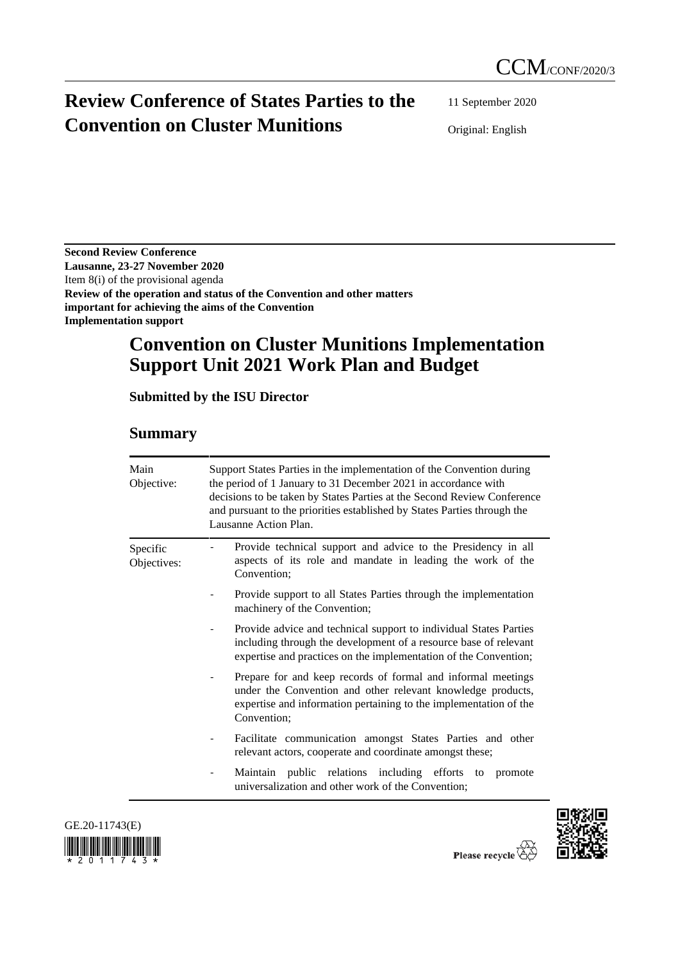# **Review Conference of States Parties to the Convention on Cluster Munitions**

11 September 2020

Original: English

**Second Review Conference Lausanne, 23-27 November 2020** Item 8(i) of the provisional agenda **Review of the operation and status of the Convention and other matters important for achieving the aims of the Convention Implementation support**

# **Convention on Cluster Munitions Implementation Support Unit 2021 Work Plan and Budget**

**Submitted by the ISU Director**

# **Summary**

| Main<br>Objective:      | Support States Parties in the implementation of the Convention during<br>the period of 1 January to 31 December 2021 in accordance with<br>decisions to be taken by States Parties at the Second Review Conference<br>and pursuant to the priorities established by States Parties through the<br>Lausanne Action Plan. |  |  |
|-------------------------|-------------------------------------------------------------------------------------------------------------------------------------------------------------------------------------------------------------------------------------------------------------------------------------------------------------------------|--|--|
| Specific<br>Objectives: | Provide technical support and advice to the Presidency in all<br>aspects of its role and mandate in leading the work of the<br>Convention;                                                                                                                                                                              |  |  |
|                         | Provide support to all States Parties through the implementation<br>machinery of the Convention;                                                                                                                                                                                                                        |  |  |
|                         | Provide advice and technical support to individual States Parties<br>including through the development of a resource base of relevant<br>expertise and practices on the implementation of the Convention;                                                                                                               |  |  |
|                         | Prepare for and keep records of formal and informal meetings<br>under the Convention and other relevant knowledge products,<br>expertise and information pertaining to the implementation of the<br>Convention;                                                                                                         |  |  |
|                         | Facilitate communication amongst States Parties and other<br>relevant actors, cooperate and coordinate amongst these;                                                                                                                                                                                                   |  |  |
|                         | Maintain public relations including efforts to<br>promote<br>universalization and other work of the Convention;                                                                                                                                                                                                         |  |  |





Please recycle  $\overleftrightarrow{C}$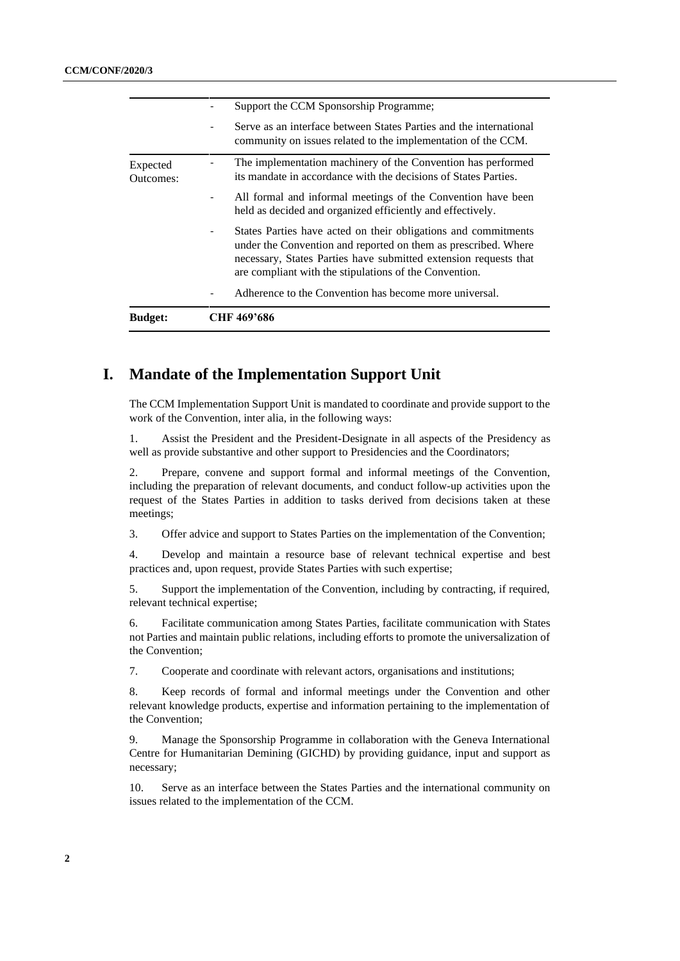| <b>Budget:</b>        | CHF 469'686                                                                                                                                                                                                                                                    |  |
|-----------------------|----------------------------------------------------------------------------------------------------------------------------------------------------------------------------------------------------------------------------------------------------------------|--|
|                       | Adherence to the Convention has become more universal.                                                                                                                                                                                                         |  |
|                       | States Parties have acted on their obligations and commitments<br>under the Convention and reported on them as prescribed. Where<br>necessary, States Parties have submitted extension requests that<br>are compliant with the stipulations of the Convention. |  |
|                       | All formal and informal meetings of the Convention have been<br>held as decided and organized efficiently and effectively.                                                                                                                                     |  |
| Expected<br>Outcomes: | The implementation machinery of the Convention has performed<br>its mandate in accordance with the decisions of States Parties.                                                                                                                                |  |
|                       | Serve as an interface between States Parties and the international<br>community on issues related to the implementation of the CCM.                                                                                                                            |  |
|                       | Support the CCM Sponsorship Programme;                                                                                                                                                                                                                         |  |

# **I. Mandate of the Implementation Support Unit**

The CCM Implementation Support Unit is mandated to coordinate and provide support to the work of the Convention, inter alia, in the following ways:

1. Assist the President and the President-Designate in all aspects of the Presidency as well as provide substantive and other support to Presidencies and the Coordinators;

2. Prepare, convene and support formal and informal meetings of the Convention, including the preparation of relevant documents, and conduct follow-up activities upon the request of the States Parties in addition to tasks derived from decisions taken at these meetings;

3. Offer advice and support to States Parties on the implementation of the Convention;

4. Develop and maintain a resource base of relevant technical expertise and best practices and, upon request, provide States Parties with such expertise;

5. Support the implementation of the Convention, including by contracting, if required, relevant technical expertise;

6. Facilitate communication among States Parties, facilitate communication with States not Parties and maintain public relations, including efforts to promote the universalization of the Convention;

7. Cooperate and coordinate with relevant actors, organisations and institutions;

8. Keep records of formal and informal meetings under the Convention and other relevant knowledge products, expertise and information pertaining to the implementation of the Convention;

9. Manage the Sponsorship Programme in collaboration with the Geneva International Centre for Humanitarian Demining (GICHD) by providing guidance, input and support as necessary;

10. Serve as an interface between the States Parties and the international community on issues related to the implementation of the CCM.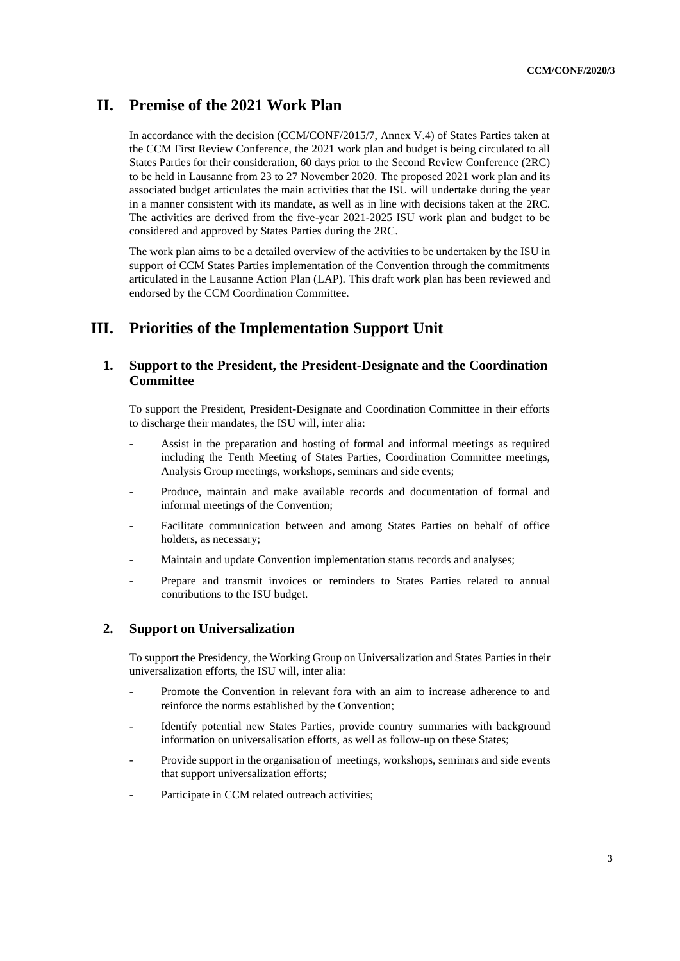# **II. Premise of the 2021 Work Plan**

In accordance with the decision (CCM/CONF/2015/7, Annex V.4) of States Parties taken at the CCM First Review Conference, the 2021 work plan and budget is being circulated to all States Parties for their consideration, 60 days prior to the Second Review Conference (2RC) to be held in Lausanne from 23 to 27 November 2020. The proposed 2021 work plan and its associated budget articulates the main activities that the ISU will undertake during the year in a manner consistent with its mandate, as well as in line with decisions taken at the 2RC. The activities are derived from the five-year 2021-2025 ISU work plan and budget to be considered and approved by States Parties during the 2RC.

The work plan aims to be a detailed overview of the activities to be undertaken by the ISU in support of CCM States Parties implementation of the Convention through the commitments articulated in the Lausanne Action Plan (LAP). This draft work plan has been reviewed and endorsed by the CCM Coordination Committee.

## **III. Priorities of the Implementation Support Unit**

## **1. Support to the President, the President-Designate and the Coordination Committee**

To support the President, President-Designate and Coordination Committee in their efforts to discharge their mandates, the ISU will, inter alia:

- Assist in the preparation and hosting of formal and informal meetings as required including the Tenth Meeting of States Parties, Coordination Committee meetings, Analysis Group meetings, workshops, seminars and side events;
- Produce, maintain and make available records and documentation of formal and informal meetings of the Convention;
- Facilitate communication between and among States Parties on behalf of office holders, as necessary;
- Maintain and update Convention implementation status records and analyses;
- Prepare and transmit invoices or reminders to States Parties related to annual contributions to the ISU budget.

## **2. Support on Universalization**

To support the Presidency, the Working Group on Universalization and States Parties in their universalization efforts, the ISU will, inter alia:

- Promote the Convention in relevant fora with an aim to increase adherence to and reinforce the norms established by the Convention;
- Identify potential new States Parties, provide country summaries with background information on universalisation efforts, as well as follow-up on these States;
- Provide support in the organisation of meetings, workshops, seminars and side events that support universalization efforts;
- Participate in CCM related outreach activities;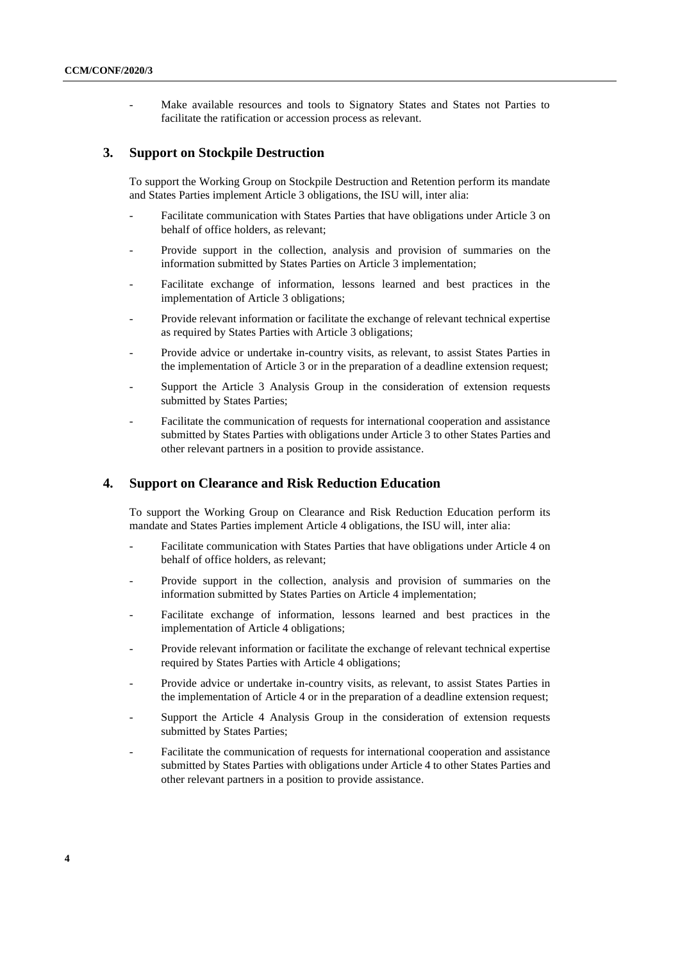Make available resources and tools to Signatory States and States not Parties to facilitate the ratification or accession process as relevant.

### **3. Support on Stockpile Destruction**

To support the Working Group on Stockpile Destruction and Retention perform its mandate and States Parties implement Article 3 obligations, the ISU will, inter alia:

- Facilitate communication with States Parties that have obligations under Article 3 on behalf of office holders, as relevant;
- Provide support in the collection, analysis and provision of summaries on the information submitted by States Parties on Article 3 implementation;
- Facilitate exchange of information, lessons learned and best practices in the implementation of Article 3 obligations;
- Provide relevant information or facilitate the exchange of relevant technical expertise as required by States Parties with Article 3 obligations;
- Provide advice or undertake in-country visits, as relevant, to assist States Parties in the implementation of Article 3 or in the preparation of a deadline extension request;
- Support the Article 3 Analysis Group in the consideration of extension requests submitted by States Parties;
- Facilitate the communication of requests for international cooperation and assistance submitted by States Parties with obligations under Article 3 to other States Parties and other relevant partners in a position to provide assistance.

#### **4. Support on Clearance and Risk Reduction Education**

To support the Working Group on Clearance and Risk Reduction Education perform its mandate and States Parties implement Article 4 obligations, the ISU will, inter alia:

- Facilitate communication with States Parties that have obligations under Article 4 on behalf of office holders, as relevant;
- Provide support in the collection, analysis and provision of summaries on the information submitted by States Parties on Article 4 implementation;
- Facilitate exchange of information, lessons learned and best practices in the implementation of Article 4 obligations;
- Provide relevant information or facilitate the exchange of relevant technical expertise required by States Parties with Article 4 obligations;
- Provide advice or undertake in-country visits, as relevant, to assist States Parties in the implementation of Article 4 or in the preparation of a deadline extension request;
- Support the Article 4 Analysis Group in the consideration of extension requests submitted by States Parties;
- Facilitate the communication of requests for international cooperation and assistance submitted by States Parties with obligations under Article 4 to other States Parties and other relevant partners in a position to provide assistance.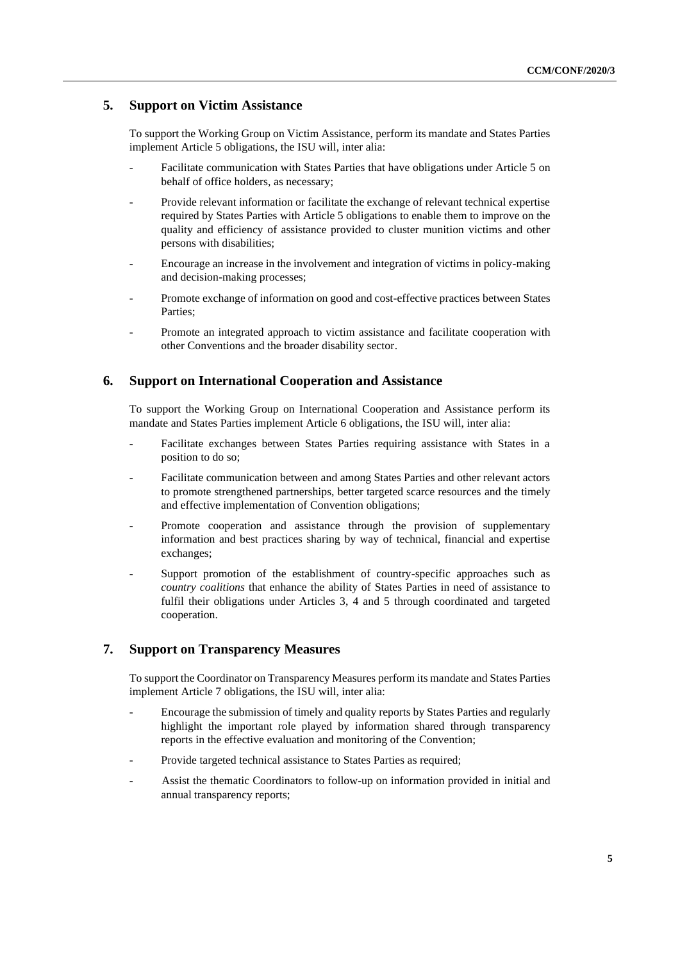## **5. Support on Victim Assistance**

To support the Working Group on Victim Assistance, perform its mandate and States Parties implement Article 5 obligations, the ISU will, inter alia:

- Facilitate communication with States Parties that have obligations under Article 5 on behalf of office holders, as necessary;
- Provide relevant information or facilitate the exchange of relevant technical expertise required by States Parties with Article 5 obligations to enable them to improve on the quality and efficiency of assistance provided to cluster munition victims and other persons with disabilities;
- Encourage an increase in the involvement and integration of victims in policy-making and decision-making processes;
- Promote exchange of information on good and cost-effective practices between States Parties;
- Promote an integrated approach to victim assistance and facilitate cooperation with other Conventions and the broader disability sector.

### **6. Support on International Cooperation and Assistance**

To support the Working Group on International Cooperation and Assistance perform its mandate and States Parties implement Article 6 obligations, the ISU will, inter alia:

- Facilitate exchanges between States Parties requiring assistance with States in a position to do so;
- Facilitate communication between and among States Parties and other relevant actors to promote strengthened partnerships, better targeted scarce resources and the timely and effective implementation of Convention obligations;
- Promote cooperation and assistance through the provision of supplementary information and best practices sharing by way of technical, financial and expertise exchanges;
- Support promotion of the establishment of country-specific approaches such as *country coalitions* that enhance the ability of States Parties in need of assistance to fulfil their obligations under Articles 3, 4 and 5 through coordinated and targeted cooperation.

## **7. Support on Transparency Measures**

To support the Coordinator on Transparency Measures perform its mandate and States Parties implement Article 7 obligations, the ISU will, inter alia:

- Encourage the submission of timely and quality reports by States Parties and regularly highlight the important role played by information shared through transparency reports in the effective evaluation and monitoring of the Convention;
- Provide targeted technical assistance to States Parties as required;
- Assist the thematic Coordinators to follow-up on information provided in initial and annual transparency reports;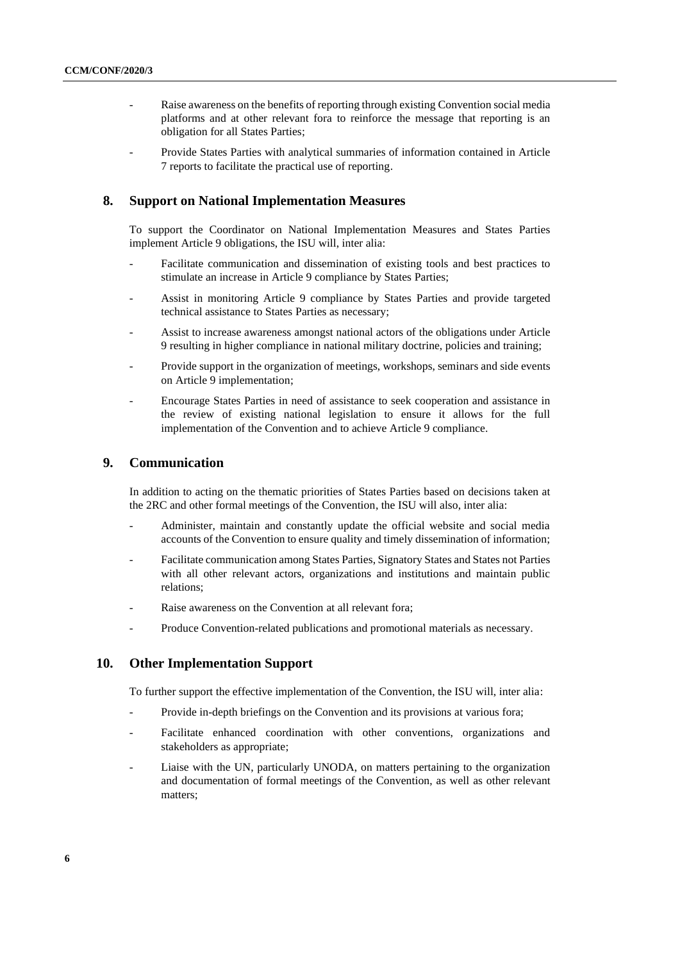- Raise awareness on the benefits of reporting through existing Convention social media platforms and at other relevant fora to reinforce the message that reporting is an obligation for all States Parties;
- Provide States Parties with analytical summaries of information contained in Article 7 reports to facilitate the practical use of reporting.

#### **8. Support on National Implementation Measures**

To support the Coordinator on National Implementation Measures and States Parties implement Article 9 obligations, the ISU will, inter alia:

- Facilitate communication and dissemination of existing tools and best practices to stimulate an increase in Article 9 compliance by States Parties;
- Assist in monitoring Article 9 compliance by States Parties and provide targeted technical assistance to States Parties as necessary;
- Assist to increase awareness amongst national actors of the obligations under Article 9 resulting in higher compliance in national military doctrine, policies and training;
- Provide support in the organization of meetings, workshops, seminars and side events on Article 9 implementation;
- Encourage States Parties in need of assistance to seek cooperation and assistance in the review of existing national legislation to ensure it allows for the full implementation of the Convention and to achieve Article 9 compliance.

#### **9. Communication**

In addition to acting on the thematic priorities of States Parties based on decisions taken at the 2RC and other formal meetings of the Convention, the ISU will also, inter alia:

- Administer, maintain and constantly update the official website and social media accounts of the Convention to ensure quality and timely dissemination of information;
- Facilitate communication among States Parties, Signatory States and States not Parties with all other relevant actors, organizations and institutions and maintain public relations;
- Raise awareness on the Convention at all relevant fora;
- Produce Convention-related publications and promotional materials as necessary.

#### **10. Other Implementation Support**

To further support the effective implementation of the Convention, the ISU will, inter alia:

- Provide in-depth briefings on the Convention and its provisions at various fora;
- Facilitate enhanced coordination with other conventions, organizations and stakeholders as appropriate;
- Liaise with the UN, particularly UNODA, on matters pertaining to the organization and documentation of formal meetings of the Convention, as well as other relevant matters;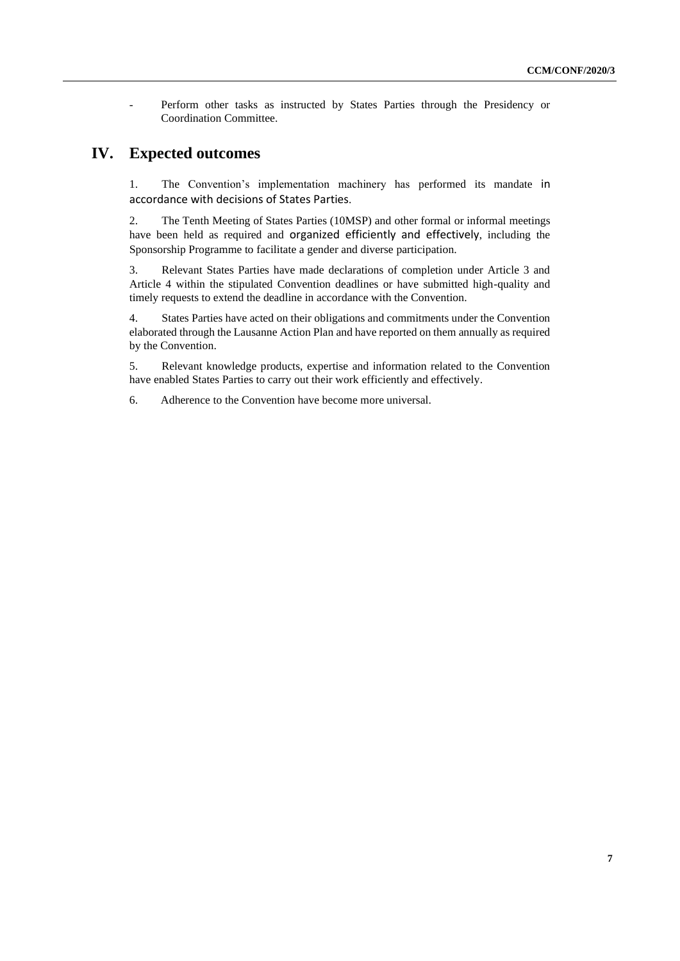Perform other tasks as instructed by States Parties through the Presidency or Coordination Committee.

## **IV. Expected outcomes**

1. The Convention's implementation machinery has performed its mandate in accordance with decisions of States Parties.

2. The Tenth Meeting of States Parties (10MSP) and other formal or informal meetings have been held as required and organized efficiently and effectively, including the Sponsorship Programme to facilitate a gender and diverse participation.

3. Relevant States Parties have made declarations of completion under Article 3 and Article 4 within the stipulated Convention deadlines or have submitted high-quality and timely requests to extend the deadline in accordance with the Convention.

4. States Parties have acted on their obligations and commitments under the Convention elaborated through the Lausanne Action Plan and have reported on them annually as required by the Convention.

5. Relevant knowledge products, expertise and information related to the Convention have enabled States Parties to carry out their work efficiently and effectively.

6. Adherence to the Convention have become more universal.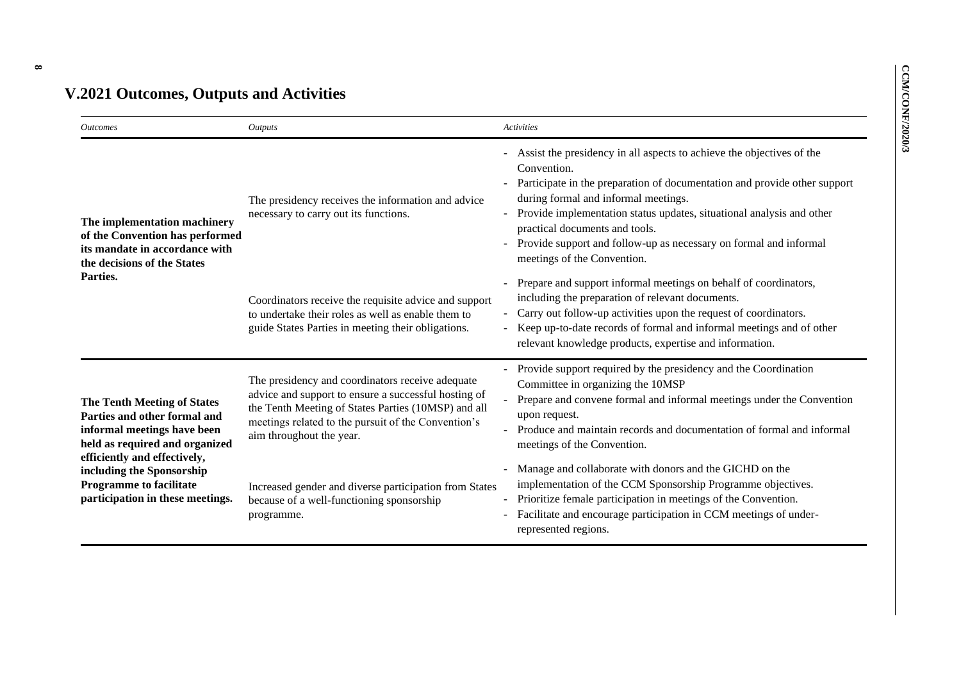# **V.2021 Outcomes, Outputs and Activities**

| <i>Outcomes</i>                                                                                                                                                     | <i>Outputs</i>                                                                                                                                                                                                                                     | <b>Activities</b>                                                                                                                                                                                                                                                                                                                                                                                                                                    |
|---------------------------------------------------------------------------------------------------------------------------------------------------------------------|----------------------------------------------------------------------------------------------------------------------------------------------------------------------------------------------------------------------------------------------------|------------------------------------------------------------------------------------------------------------------------------------------------------------------------------------------------------------------------------------------------------------------------------------------------------------------------------------------------------------------------------------------------------------------------------------------------------|
| The implementation machinery<br>of the Convention has performed<br>its mandate in accordance with<br>the decisions of the States                                    | The presidency receives the information and advice<br>necessary to carry out its functions.                                                                                                                                                        | Assist the presidency in all aspects to achieve the objectives of the<br>Convention.<br>Participate in the preparation of documentation and provide other support<br>during formal and informal meetings.<br>Provide implementation status updates, situational analysis and other<br>practical documents and tools.<br>Provide support and follow-up as necessary on formal and informal<br>$\overline{\phantom{a}}$<br>meetings of the Convention. |
| Parties.                                                                                                                                                            | Coordinators receive the requisite advice and support<br>to undertake their roles as well as enable them to<br>guide States Parties in meeting their obligations.                                                                                  | Prepare and support informal meetings on behalf of coordinators,<br>$\overline{\phantom{a}}$<br>including the preparation of relevant documents.<br>Carry out follow-up activities upon the request of coordinators.<br>$\overline{\phantom{a}}$<br>Keep up-to-date records of formal and informal meetings and of other<br>$\blacksquare$<br>relevant knowledge products, expertise and information.                                                |
| <b>The Tenth Meeting of States</b><br>Parties and other formal and<br>informal meetings have been<br>held as required and organized<br>efficiently and effectively, | The presidency and coordinators receive adequate<br>advice and support to ensure a successful hosting of<br>the Tenth Meeting of States Parties (10MSP) and all<br>meetings related to the pursuit of the Convention's<br>aim throughout the year. | Provide support required by the presidency and the Coordination<br>Committee in organizing the 10MSP<br>Prepare and convene formal and informal meetings under the Convention<br>upon request.<br>Produce and maintain records and documentation of formal and informal<br>meetings of the Convention.                                                                                                                                               |
| including the Sponsorship<br><b>Programme to facilitate</b><br>participation in these meetings.                                                                     | Increased gender and diverse participation from States<br>because of a well-functioning sponsorship<br>programme.                                                                                                                                  | Manage and collaborate with donors and the GICHD on the<br>$\overline{\phantom{a}}$<br>implementation of the CCM Sponsorship Programme objectives.<br>Prioritize female participation in meetings of the Convention.<br>Facilitate and encourage participation in CCM meetings of under-<br>represented regions.                                                                                                                                     |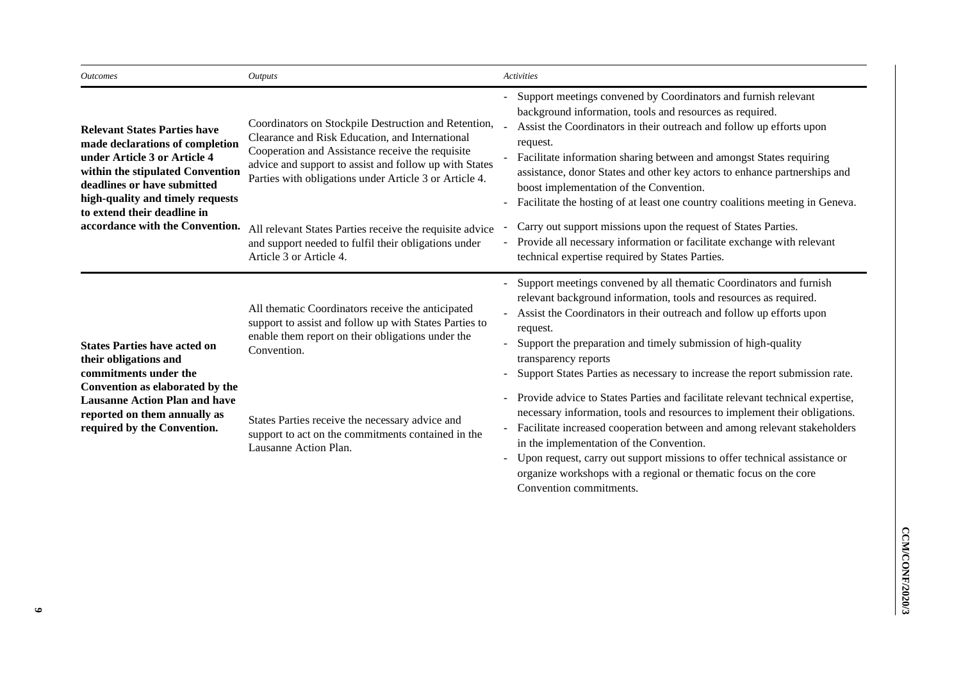| <b>Outcomes</b>                                                                                                                                                                                                                              | <b>Outputs</b>                                                                                                                                                                                                                                                                  | Activities                                                                                                                                                                                                                                                                                                                                                                                                                                                                                    |
|----------------------------------------------------------------------------------------------------------------------------------------------------------------------------------------------------------------------------------------------|---------------------------------------------------------------------------------------------------------------------------------------------------------------------------------------------------------------------------------------------------------------------------------|-----------------------------------------------------------------------------------------------------------------------------------------------------------------------------------------------------------------------------------------------------------------------------------------------------------------------------------------------------------------------------------------------------------------------------------------------------------------------------------------------|
| <b>Relevant States Parties have</b><br>made declarations of completion<br>under Article 3 or Article 4<br>within the stipulated Convention<br>deadlines or have submitted<br>high-quality and timely requests<br>to extend their deadline in | Coordinators on Stockpile Destruction and Retention,<br>Clearance and Risk Education, and International<br>Cooperation and Assistance receive the requisite<br>advice and support to assist and follow up with States<br>Parties with obligations under Article 3 or Article 4. | Support meetings convened by Coordinators and furnish relevant<br>background information, tools and resources as required.<br>Assist the Coordinators in their outreach and follow up efforts upon<br>request.<br>Facilitate information sharing between and amongst States requiring<br>assistance, donor States and other key actors to enhance partnerships and<br>boost implementation of the Convention.<br>Facilitate the hosting of at least one country coalitions meeting in Geneva. |
| accordance with the Convention.                                                                                                                                                                                                              | All relevant States Parties receive the requisite advice<br>and support needed to fulfil their obligations under<br>Article 3 or Article 4.                                                                                                                                     | Carry out support missions upon the request of States Parties.<br>Provide all necessary information or facilitate exchange with relevant<br>technical expertise required by States Parties.                                                                                                                                                                                                                                                                                                   |
| <b>States Parties have acted on</b><br>their obligations and<br>commitments under the                                                                                                                                                        | All thematic Coordinators receive the anticipated<br>support to assist and follow up with States Parties to<br>enable them report on their obligations under the<br>Convention.                                                                                                 | Support meetings convened by all thematic Coordinators and furnish<br>relevant background information, tools and resources as required.<br>Assist the Coordinators in their outreach and follow up efforts upon<br>request.<br>Support the preparation and timely submission of high-quality<br>transparency reports<br>Support States Parties as necessary to increase the report submission rate.                                                                                           |
| Convention as elaborated by the<br><b>Lausanne Action Plan and have</b><br>reported on them annually as<br>required by the Convention.                                                                                                       | States Parties receive the necessary advice and<br>support to act on the commitments contained in the<br>Lausanne Action Plan.                                                                                                                                                  | Provide advice to States Parties and facilitate relevant technical expertise,<br>necessary information, tools and resources to implement their obligations.<br>Facilitate increased cooperation between and among relevant stakeholders<br>in the implementation of the Convention.<br>Upon request, carry out support missions to offer technical assistance or<br>organize workshops with a regional or thematic focus on the core                                                          |

Convention commitments.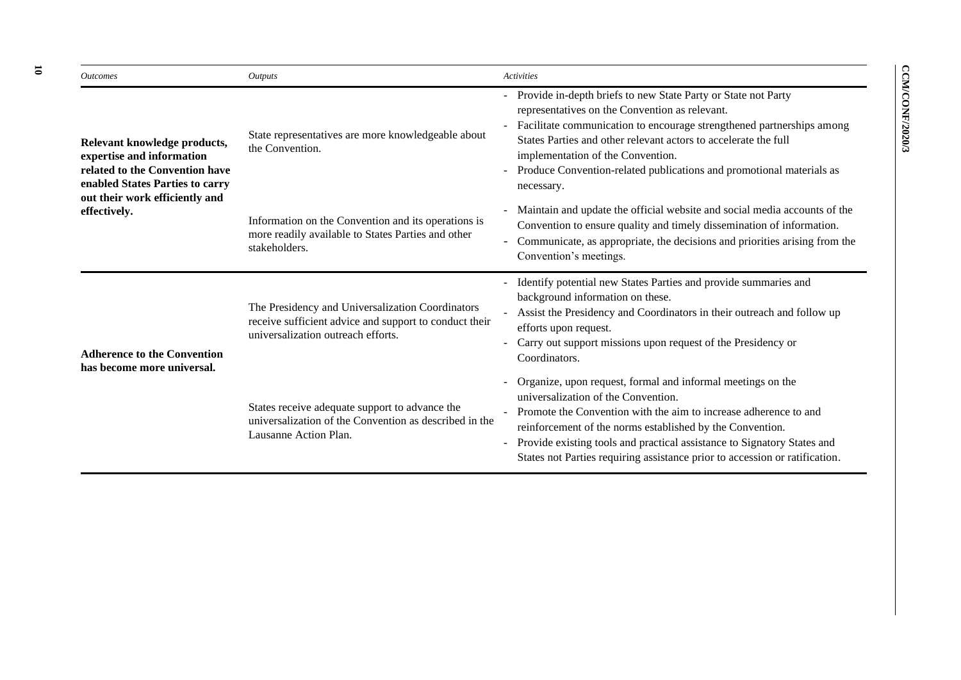| <i><u><b>Outcomes</b></u></i>                                                                                                  | <b>Outputs</b>                                                                                                                                   | Activities                                                                                                                                                                                                                                                                                                                                                                                    |
|--------------------------------------------------------------------------------------------------------------------------------|--------------------------------------------------------------------------------------------------------------------------------------------------|-----------------------------------------------------------------------------------------------------------------------------------------------------------------------------------------------------------------------------------------------------------------------------------------------------------------------------------------------------------------------------------------------|
| Relevant knowledge products,<br>expertise and information<br>related to the Convention have<br>enabled States Parties to carry | State representatives are more knowledgeable about<br>the Convention.                                                                            | - Provide in-depth briefs to new State Party or State not Party<br>representatives on the Convention as relevant.<br>Facilitate communication to encourage strengthened partnerships among<br>States Parties and other relevant actors to accelerate the full<br>implementation of the Convention.<br>Produce Convention-related publications and promotional materials as<br>necessary.      |
| out their work efficiently and<br>effectively.                                                                                 | Information on the Convention and its operations is<br>more readily available to States Parties and other<br>stakeholders.                       | Maintain and update the official website and social media accounts of the<br>Convention to ensure quality and timely dissemination of information.<br>Communicate, as appropriate, the decisions and priorities arising from the<br>Convention's meetings.                                                                                                                                    |
| <b>Adherence to the Convention</b><br>has become more universal.                                                               | The Presidency and Universalization Coordinators<br>receive sufficient advice and support to conduct their<br>universalization outreach efforts. | - Identify potential new States Parties and provide summaries and<br>background information on these.<br>Assist the Presidency and Coordinators in their outreach and follow up<br>efforts upon request.<br>Carry out support missions upon request of the Presidency or<br>Coordinators.                                                                                                     |
|                                                                                                                                | States receive adequate support to advance the<br>universalization of the Convention as described in the<br>Lausanne Action Plan.                | Organize, upon request, formal and informal meetings on the<br>universalization of the Convention.<br>Promote the Convention with the aim to increase adherence to and<br>reinforcement of the norms established by the Convention.<br>Provide existing tools and practical assistance to Signatory States and<br>States not Parties requiring assistance prior to accession or ratification. |